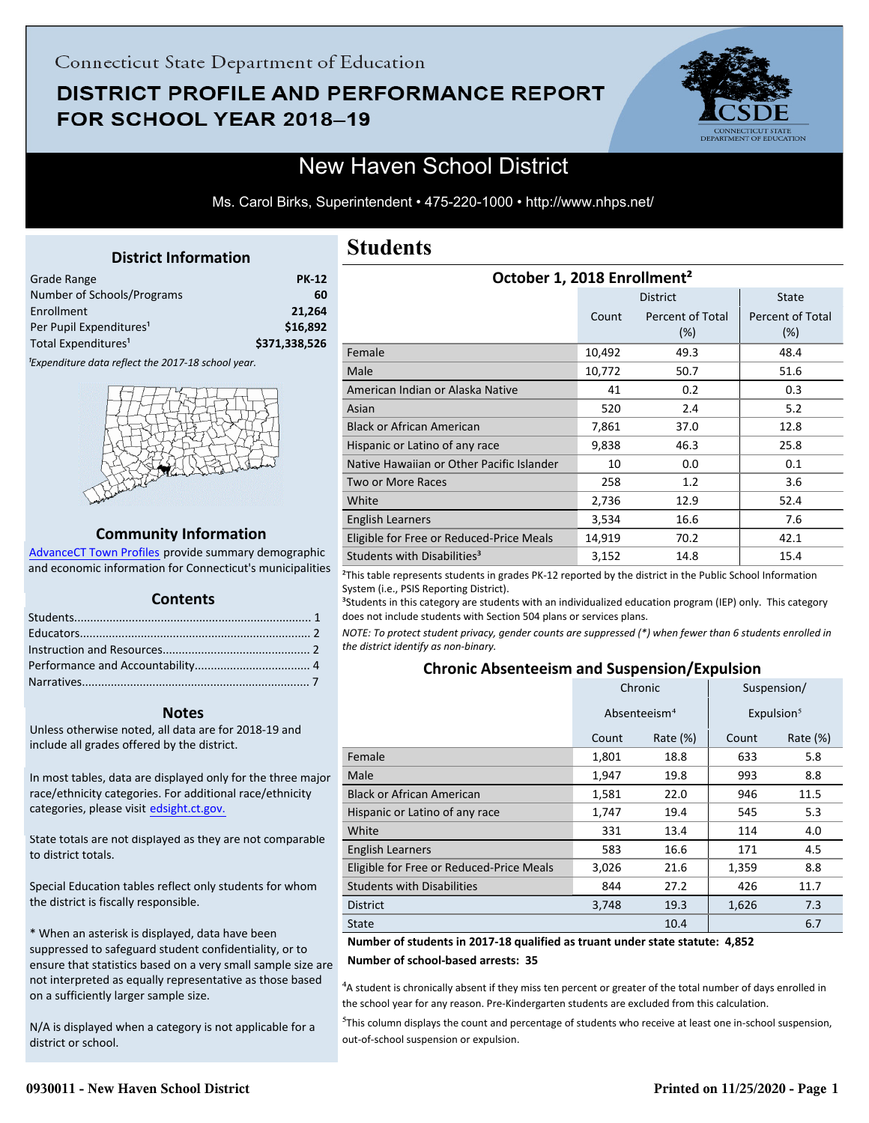# DISTRICT PROFILE AND PERFORMANCE REPORT FOR SCHOOL YEAR 2018-19



# New Haven School District

Ms. Carol Birks, Superintendent • 475-220-1000 • http://www.nhps.net/

## **District Information**

<span id="page-0-0"></span>

| Grade Range                         | <b>PK-12</b>  |
|-------------------------------------|---------------|
| Number of Schools/Programs          | 60            |
| Enrollment                          | 21.264        |
| Per Pupil Expenditures <sup>1</sup> | \$16,892      |
| Total Expenditures <sup>1</sup>     | \$371,338,526 |

<sup>1</sup>Expenditure data reflect the 2017-18 school year.



#### **Community Information**

AdvanceCT Town Profiles provide summary demographic  [and economic information for Connecticut's municipalities](http://www.cerc.com/townprofiles/)

### **Contents**

#### **Notes**

Unless otherwise noted, all data are for 2018-19 and include all grades offered by the district.

[In most tables, data are displayed only for the three major](http://edsight.ct.gov/) race/ethnicity categories. For additional race/ethnicity categories, please visit edsight.ct.gov.

State totals are not displayed as they are not comparable to district totals.

Special Education tables reflect only students for whom the district is fiscally responsible.

\* When an asterisk is displayed, data have been suppressed to safeguard student confidentiality, or to ensure that statistics based on a very small sample size are not interpreted as equally representative as those based on a sufficiently larger sample size.

N/A is displayed when a category is not applicable for a district or school.

# **Students**

| October 1, 2018 Enrollment <sup>2</sup>   |        |                         |                         |  |  |
|-------------------------------------------|--------|-------------------------|-------------------------|--|--|
|                                           |        | <b>District</b>         | <b>State</b>            |  |  |
|                                           | Count  | Percent of Total<br>(%) | Percent of Total<br>(%) |  |  |
| Female                                    | 10,492 | 49.3                    | 48.4                    |  |  |
| Male                                      | 10,772 | 50.7                    | 51.6                    |  |  |
| American Indian or Alaska Native          | 41     | 0.2                     | 0.3                     |  |  |
| Asian                                     | 520    | 2.4                     | 5.2                     |  |  |
| <b>Black or African American</b>          | 7,861  | 37.0                    | 12.8                    |  |  |
| Hispanic or Latino of any race            | 9,838  | 46.3                    | 25.8                    |  |  |
| Native Hawaiian or Other Pacific Islander | 10     | 0.0                     | 0.1                     |  |  |
| Two or More Races                         | 258    | 1.2                     | 3.6                     |  |  |
| White                                     | 2,736  | 12.9                    | 52.4                    |  |  |
| English Learners                          | 3,534  | 16.6                    | 7.6                     |  |  |
| Eligible for Free or Reduced-Price Meals  | 14,919 | 70.2                    | 42.1                    |  |  |
| Students with Disabilities <sup>3</sup>   | 3,152  | 14.8                    | 15.4                    |  |  |

²This table represents students in grades PK-12 reported by the district in the Public School Information System (i.e., PSIS Reporting District).

<sup>3</sup>Students in this category are students with an individualized education program (IEP) only. This category does not include students with Section 504 plans or services plans.

*NOTE: To protect student privacy, gender counts are suppressed (\*) when fewer than 6 students enrolled in the district identify as non-binary.*

### **Chronic Absenteeism and Suspension/Expulsion**

|                                          | Chronic                  |             | Suspension/ |                        |
|------------------------------------------|--------------------------|-------------|-------------|------------------------|
|                                          | Absenteeism <sup>4</sup> |             |             | Expulsion <sup>5</sup> |
|                                          | Count                    | Rate $(\%)$ | Count       | Rate $(\%)$            |
| Female                                   | 1,801                    | 18.8        | 633         | 5.8                    |
| Male                                     | 1,947                    | 19.8        | 993         | 8.8                    |
| <b>Black or African American</b>         | 1,581                    | 22.0        | 946         | 11.5                   |
| Hispanic or Latino of any race           | 1,747                    | 19.4        | 545         | 5.3                    |
| White                                    | 331                      | 13.4        | 114         | 4.0                    |
| <b>English Learners</b>                  | 583                      | 16.6        | 171         | 4.5                    |
| Eligible for Free or Reduced-Price Meals | 3,026                    | 21.6        | 1,359       | 8.8                    |
| <b>Students with Disabilities</b>        | 844                      | 27.2        | 426         | 11.7                   |
| <b>District</b>                          | 3,748                    | 19.3        | 1,626       | 7.3                    |
| <b>State</b>                             |                          | 10.4        |             | 6.7                    |

#### **Number of students in 2017-18 qualified as truant under state statute: 4,852 Number of school-based arrests: 35**

<sup>4</sup>A student is chronically absent if they miss ten percent or greater of the total number of days enrolled in the school year for any reason. Pre-Kindergarten students are excluded from this calculation.

<sup>5</sup>This column displays the count and percentage of students who receive at least one in-school suspension, out-of-school suspension or expulsion.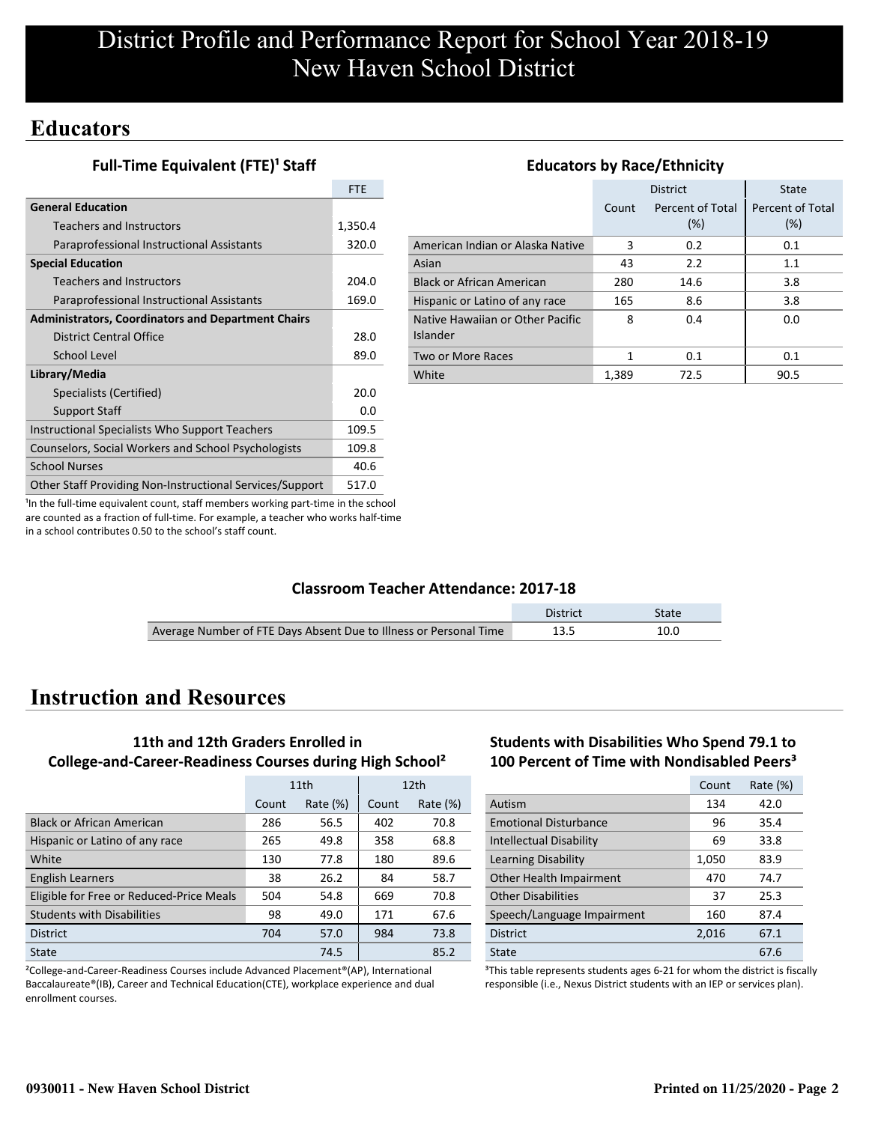# **Educators**

**Full-Time Equivalent (FTE)<sup>1</sup> Staff** 

|                                                           | <b>FTE</b> |
|-----------------------------------------------------------|------------|
| <b>General Education</b>                                  |            |
| <b>Teachers and Instructors</b>                           | 1,350.4    |
| Paraprofessional Instructional Assistants                 | 320.0      |
| <b>Special Education</b>                                  |            |
| <b>Teachers and Instructors</b>                           | 204.0      |
| Paraprofessional Instructional Assistants                 | 169.0      |
| <b>Administrators, Coordinators and Department Chairs</b> |            |
| District Central Office                                   | 28.0       |
| School Level                                              | 89.0       |
| Library/Media                                             |            |
| Specialists (Certified)                                   | 20.0       |
| <b>Support Staff</b>                                      | 0.0        |
| Instructional Specialists Who Support Teachers            | 109.5      |
| Counselors, Social Workers and School Psychologists       | 109.8      |
| <b>School Nurses</b>                                      | 40.6       |
| Other Staff Providing Non-Instructional Services/Support  | 517.0      |

## **Educators by Race/Ethnicity**

|                                              |       | <b>District</b>         | State                   |
|----------------------------------------------|-------|-------------------------|-------------------------|
|                                              | Count | Percent of Total<br>(%) | Percent of Total<br>(%) |
| American Indian or Alaska Native             | 3     | 0.2                     | 0.1                     |
| Asian                                        | 43    | 2.2                     | 1.1                     |
| <b>Black or African American</b>             | 280   | 14.6                    | 3.8                     |
| Hispanic or Latino of any race               | 165   | 8.6                     | 3.8                     |
| Native Hawaiian or Other Pacific<br>Islander | 8     | 0.4                     | 0.0                     |
| Two or More Races                            | 1     | 0.1                     | 0.1                     |
| White                                        | 1.389 | 72.5                    | 90.5                    |

<sup>1</sup>In the full-time equivalent count, staff members working part-time in the school are counted as a fraction of full-time. For example, a teacher who works half-time in a school contributes 0.50 to the school's staff count.

### **Classroom Teacher Attendance: 2017-18**

|                                                                   | District | State |
|-------------------------------------------------------------------|----------|-------|
| Average Number of FTE Days Absent Due to Illness or Personal Time | 13.5     |       |

# **Instruction and Resources**

# **11th and 12th Graders Enrolled in College-and-Career-Readiness Courses during High School²**

|                                          | 11th  |             |       | 12 <sub>th</sub> |
|------------------------------------------|-------|-------------|-------|------------------|
|                                          | Count | Rate $(\%)$ | Count | Rate $(\%)$      |
| <b>Black or African American</b>         | 286   | 56.5        | 402   | 70.8             |
| Hispanic or Latino of any race           | 265   | 49.8        | 358   | 68.8             |
| White                                    | 130   | 77.8        | 180   | 89.6             |
| <b>English Learners</b>                  | 38    | 26.2        | 84    | 58.7             |
| Eligible for Free or Reduced-Price Meals | 504   | 54.8        | 669   | 70.8             |
| <b>Students with Disabilities</b>        | 98    | 49.0        | 171   | 67.6             |
| <b>District</b>                          | 704   | 57.0        | 984   | 73.8             |
| State                                    |       | 74.5        |       | 85.2             |

²College-and-Career-Readiness Courses include Advanced Placement®(AP), International Baccalaureate®(IB), Career and Technical Education(CTE), workplace experience and dual enrollment courses.

## **Students with Disabilities Who Spend 79.1 to 100 Percent of Time with Nondisabled Peers³**

|                                | Count | Rate $(\%)$ |
|--------------------------------|-------|-------------|
| Autism                         | 134   | 42.0        |
| <b>Emotional Disturbance</b>   | 96    | 35.4        |
| <b>Intellectual Disability</b> | 69    | 33.8        |
| Learning Disability            | 1,050 | 83.9        |
| Other Health Impairment        | 470   | 74.7        |
| <b>Other Disabilities</b>      | 37    | 25.3        |
| Speech/Language Impairment     | 160   | 87.4        |
| <b>District</b>                | 2,016 | 67.1        |
| State                          |       | 67.6        |

<sup>3</sup>This table represents students ages 6-21 for whom the district is fiscally responsible (i.e., Nexus District students with an IEP or services plan).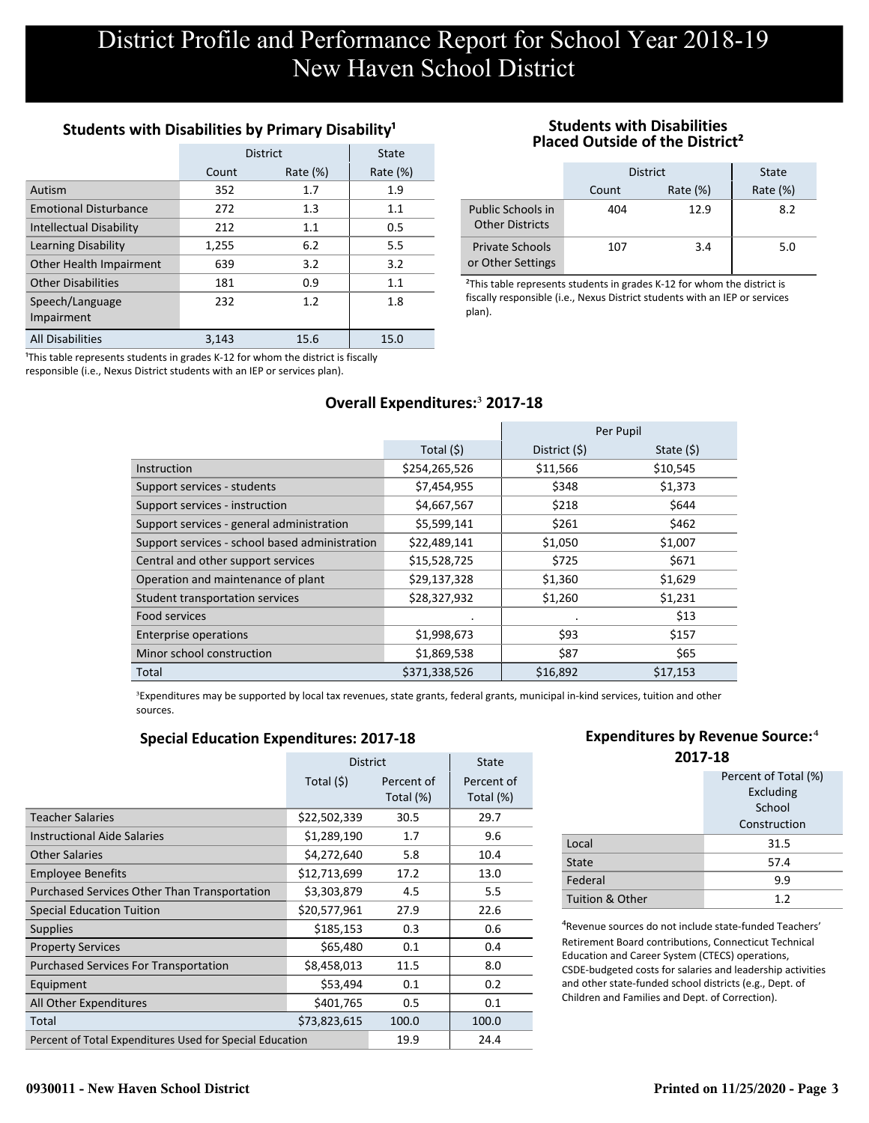# **Students with Disabilities by Primary Disability<sup>1</sup>**

|                                | <b>District</b> | State       |             |
|--------------------------------|-----------------|-------------|-------------|
|                                | Count           | Rate $(\%)$ | Rate $(\%)$ |
| Autism                         | 352             | 1.7         | 1.9         |
| <b>Emotional Disturbance</b>   | 272             | 1.3         | 1.1         |
| <b>Intellectual Disability</b> | 212             | 1.1         | 0.5         |
| <b>Learning Disability</b>     | 1,255           | 6.2         | 5.5         |
| Other Health Impairment        | 639             | 3.2         | 3.2         |
| <b>Other Disabilities</b>      | 181             | 0.9         | 1.1         |
| Speech/Language<br>Impairment  | 232             | 1.2         | 1.8         |
| <b>All Disabilities</b>        | 3.143           | 15.6        | 15.0        |

<sup>1</sup>This table represents students in grades K-12 for whom the district is fiscally responsible (i.e., Nexus District students with an IEP or services plan).

#### **Students with Disabilities Placed Outside of the District²**

|                                             | <b>District</b> | <b>State</b> |             |
|---------------------------------------------|-----------------|--------------|-------------|
|                                             | Count           | Rate $(\%)$  | Rate $(\%)$ |
| Public Schools in<br><b>Other Districts</b> | 404             | 12.9         | 8.2         |
| <b>Private Schools</b><br>or Other Settings | 107             | 3.4          | 5.0         |

<sup>2</sup>This table represents students in grades K-12 for whom the district is fiscally responsible (i.e., Nexus District students with an IEP or services plan).

# **Overall Expenditures:**³ **2017-18**

|                                                |               |               | Per Pupil   |
|------------------------------------------------|---------------|---------------|-------------|
|                                                | Total $(5)$   | District (\$) | State $(5)$ |
| Instruction                                    | \$254,265,526 | \$11,566      | \$10,545    |
| Support services - students                    | \$7,454,955   | \$348         | \$1,373     |
| Support services - instruction                 | \$4,667,567   | \$218         | \$644       |
| Support services - general administration      | \$5,599,141   | \$261         | \$462       |
| Support services - school based administration | \$22,489,141  | \$1,050       | \$1,007     |
| Central and other support services             | \$15,528,725  | \$725         | \$671       |
| Operation and maintenance of plant             | \$29,137,328  | \$1,360       | \$1,629     |
| Student transportation services                | \$28,327,932  | \$1,260       | \$1,231     |
| Food services                                  |               | $\cdot$       | \$13        |
| <b>Enterprise operations</b>                   | \$1,998,673   | \$93          | \$157       |
| Minor school construction                      | \$1,869,538   | \$87          | \$65        |
| Total                                          | \$371,338,526 | \$16,892      | \$17,153    |

<sup>3</sup>Expenditures may be supported by local tax revenues, state grants, federal grants, municipal in-kind services, tuition and other sources.

### **Special Education Expenditures: 2017-18**

|                                                          | <b>District</b> |                         | <b>State</b>            |
|----------------------------------------------------------|-----------------|-------------------------|-------------------------|
|                                                          | Total $(5)$     | Percent of<br>Total (%) | Percent of<br>Total (%) |
| <b>Teacher Salaries</b>                                  | \$22,502,339    | 30.5                    | 29.7                    |
| <b>Instructional Aide Salaries</b>                       | \$1,289,190     | 1.7                     | 9.6                     |
| Other Salaries                                           | \$4,272,640     | 5.8                     | 10.4                    |
| <b>Employee Benefits</b>                                 | \$12,713,699    | 17.2                    | 13.0                    |
| <b>Purchased Services Other Than Transportation</b>      | \$3,303,879     | 4.5                     | 5.5                     |
| <b>Special Education Tuition</b>                         | \$20,577,961    | 27.9                    | 22.6                    |
| <b>Supplies</b>                                          | \$185,153       | 0.3                     | 0.6                     |
| <b>Property Services</b>                                 | \$65,480        | 0.1                     | 0.4                     |
| <b>Purchased Services For Transportation</b>             | \$8,458,013     | 11.5                    | 8.0                     |
| Equipment                                                | \$53,494        | 0.1                     | 0.2                     |
| All Other Expenditures                                   | \$401,765       | 0.5                     | 0.1                     |
| Total                                                    | \$73,823,615    | 100.0                   | 100.0                   |
| Percent of Total Expenditures Used for Special Education |                 | 19.9                    | 24.4                    |

# **Expenditures by Revenue Source:**<sup>4</sup>

| 2017-18              |              |  |  |  |
|----------------------|--------------|--|--|--|
| Percent of Total (%) |              |  |  |  |
| Excluding            |              |  |  |  |
|                      | School       |  |  |  |
|                      | Construction |  |  |  |
| Local                | 31.5         |  |  |  |
| State                | 57.4         |  |  |  |
| Federal              | 9.9          |  |  |  |
| Tuition & Other      | 1.2          |  |  |  |

⁴Revenue sources do not include state-funded Teachers' Retirement Board contributions, Connecticut Technical Education and Career System (CTECS) operations, CSDE-budgeted costs for salaries and leadership activities and other state-funded school districts (e.g., Dept. of Children and Families and Dept. of Correction).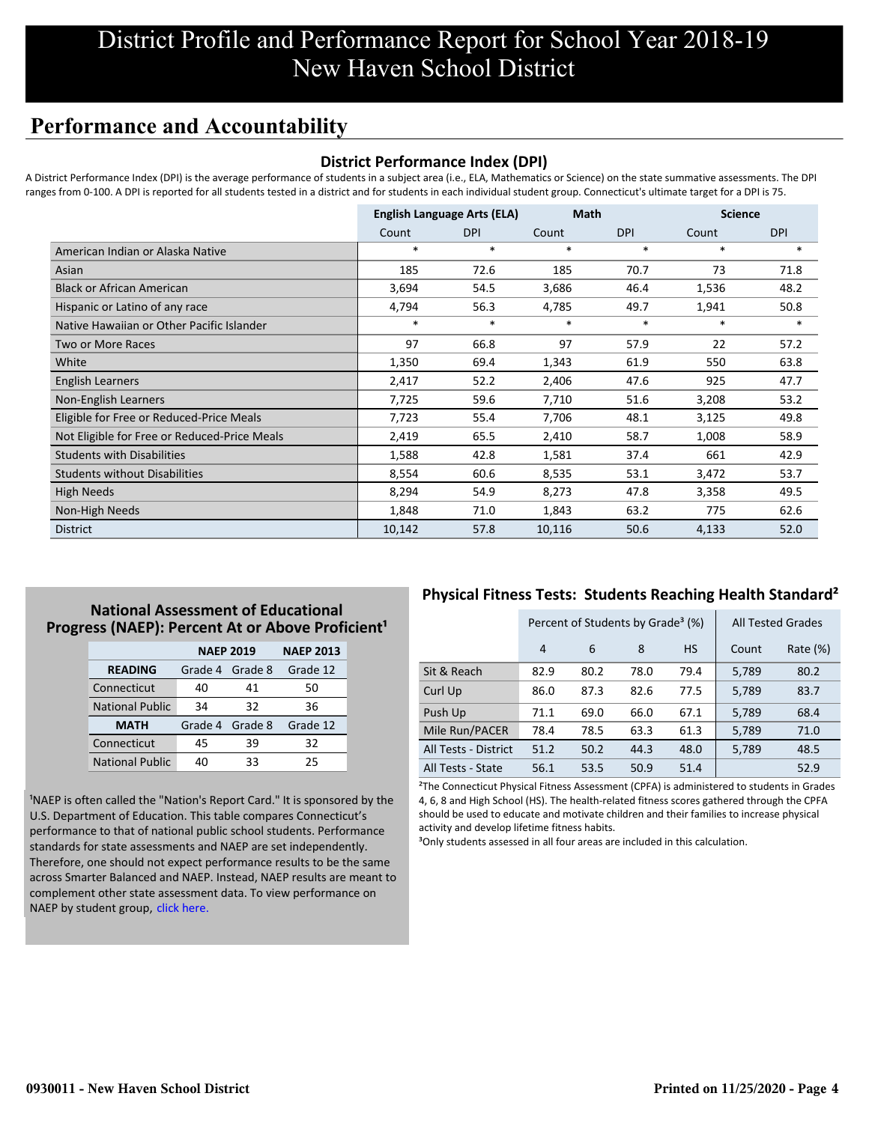# **Performance and Accountability**

## **District Performance Index (DPI)**

A District Performance Index (DPI) is the average performance of students in a subject area (i.e., ELA, Mathematics or Science) on the state summative assessments. The DPI ranges from 0-100. A DPI is reported for all students tested in a district and for students in each individual student group. Connecticut's ultimate target for a DPI is 75.

|                                              | <b>English Language Arts (ELA)</b> |            | <b>Math</b> |            | <b>Science</b> |            |
|----------------------------------------------|------------------------------------|------------|-------------|------------|----------------|------------|
|                                              | Count                              | <b>DPI</b> | Count       | <b>DPI</b> | Count          | <b>DPI</b> |
| American Indian or Alaska Native             | $\ast$                             | $\ast$     | $\ast$      | $\ast$     | $\ast$         | $\ast$     |
| Asian                                        | 185                                | 72.6       | 185         | 70.7       | 73             | 71.8       |
| <b>Black or African American</b>             | 3,694                              | 54.5       | 3,686       | 46.4       | 1,536          | 48.2       |
| Hispanic or Latino of any race               | 4,794                              | 56.3       | 4,785       | 49.7       | 1,941          | 50.8       |
| Native Hawaiian or Other Pacific Islander    | $\ast$                             | $\ast$     | $\ast$      | $\ast$     | $\ast$         | $\ast$     |
| Two or More Races                            | 97                                 | 66.8       | 97          | 57.9       | 22             | 57.2       |
| White                                        | 1,350                              | 69.4       | 1,343       | 61.9       | 550            | 63.8       |
| <b>English Learners</b>                      | 2,417                              | 52.2       | 2,406       | 47.6       | 925            | 47.7       |
| Non-English Learners                         | 7,725                              | 59.6       | 7,710       | 51.6       | 3,208          | 53.2       |
| Eligible for Free or Reduced-Price Meals     | 7,723                              | 55.4       | 7,706       | 48.1       | 3,125          | 49.8       |
| Not Eligible for Free or Reduced-Price Meals | 2,419                              | 65.5       | 2,410       | 58.7       | 1,008          | 58.9       |
| <b>Students with Disabilities</b>            | 1,588                              | 42.8       | 1,581       | 37.4       | 661            | 42.9       |
| <b>Students without Disabilities</b>         | 8,554                              | 60.6       | 8,535       | 53.1       | 3,472          | 53.7       |
| <b>High Needs</b>                            | 8,294                              | 54.9       | 8,273       | 47.8       | 3,358          | 49.5       |
| Non-High Needs                               | 1,848                              | 71.0       | 1,843       | 63.2       | 775            | 62.6       |
| <b>District</b>                              | 10,142                             | 57.8       | 10,116      | 50.6       | 4,133          | 52.0       |

# **National Assessment of Educational** Progress (NAEP): Percent At or Above Proficient<sup>1</sup>

|                        | <b>NAEP 2019</b> |         | <b>NAEP 2013</b> |
|------------------------|------------------|---------|------------------|
| <b>READING</b>         | Grade 4          | Grade 8 | Grade 12         |
| Connecticut            | 40               | 41      | 50               |
| <b>National Public</b> | 34               | 32      | 36               |
| <b>MATH</b>            | Grade 4          | Grade 8 | Grade 12         |
| Connecticut            | 45               | 39      | 32               |
| <b>National Public</b> | 40               | 33      | 25               |

<sup>1</sup>NAEP is often called the "Nation's Report Card." It is sponsored by the U.S. Department of Education. This table compares Connecticut's performance to that of national public school students. Performance standards for state assessments and NAEP are set independently. Therefore, one should not expect performance results to be the same [across Smarter Balanced and NAEP. Instead, NAEP results are meant to](https://portal.ct.gov/-/media/SDE/Student-Assessment/NAEP/report-card_NAEP-2019.pdf?la=en) complement other state assessment data. To view performance on NAEP by student group, click here.

# **Physical Fitness Tests: Students Reaching Health Standard²**

|                      | Percent of Students by Grade <sup>3</sup> (%) |      |      |           |       | <b>All Tested Grades</b> |
|----------------------|-----------------------------------------------|------|------|-----------|-------|--------------------------|
|                      | 4                                             | 6    | 8    | <b>HS</b> | Count | Rate (%)                 |
| Sit & Reach          | 82.9                                          | 80.2 | 78.0 | 79.4      | 5,789 | 80.2                     |
| Curl Up              | 86.0                                          | 87.3 | 82.6 | 77.5      | 5,789 | 83.7                     |
| Push Up              | 71.1                                          | 69.0 | 66.0 | 67.1      | 5,789 | 68.4                     |
| Mile Run/PACER       | 78.4                                          | 78.5 | 63.3 | 61.3      | 5,789 | 71.0                     |
| All Tests - District | 51.2                                          | 50.2 | 44.3 | 48.0      | 5,789 | 48.5                     |
| All Tests - State    | 56.1                                          | 53.5 | 50.9 | 51.4      |       | 52.9                     |

²The Connecticut Physical Fitness Assessment (CPFA) is administered to students in Grades 4, 6, 8 and High School (HS). The health-related fitness scores gathered through the CPFA should be used to educate and motivate children and their families to increase physical activity and develop lifetime fitness habits.

<sup>3</sup>Only students assessed in all four areas are included in this calculation.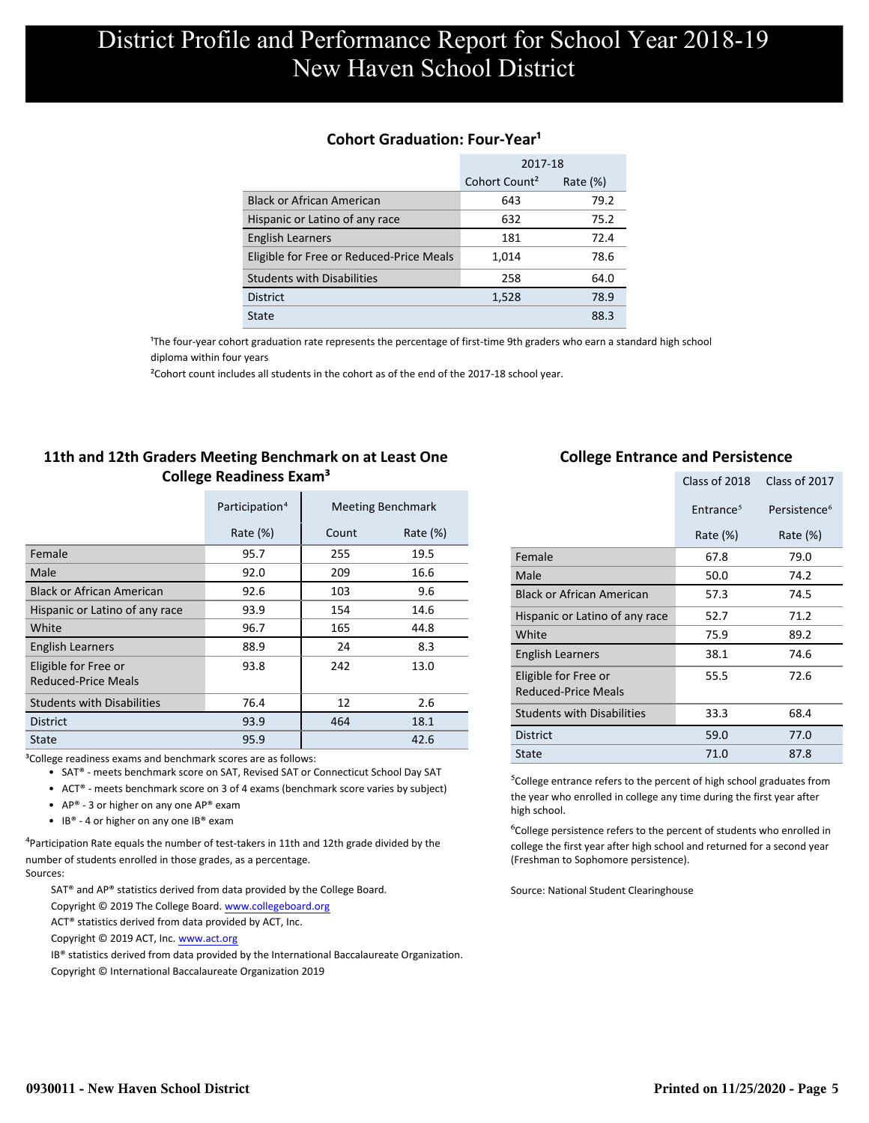## **Cohort Graduation: Four-Year<sup>1</sup>**

|                                          | 2017-18                   |             |  |
|------------------------------------------|---------------------------|-------------|--|
|                                          | Cohort Count <sup>2</sup> | Rate $(\%)$ |  |
| <b>Black or African American</b>         | 643                       | 79.2        |  |
| Hispanic or Latino of any race           | 632                       | 75.2        |  |
| <b>English Learners</b>                  | 181                       | 72.4        |  |
| Eligible for Free or Reduced-Price Meals | 1,014                     | 78.6        |  |
| <b>Students with Disabilities</b>        | 258                       | 64.0        |  |
| <b>District</b>                          | 1,528                     | 78.9        |  |
| State                                    |                           | 88.3        |  |

<sup>1</sup>The four-year cohort graduation rate represents the percentage of first-time 9th graders who earn a standard high school [diploma within four years.](http://www.sde.ct.gov/sde/cwp/view.asp?a=2758&q=334898)

²Cohort count includes all students in the cohort as of the end of the 2017-18 school year.

## **11th and 12th Graders Meeting Benchmark on at Least One College Readiness Exam³**

|                                             | Participation <sup>4</sup> |       | <b>Meeting Benchmark</b> |
|---------------------------------------------|----------------------------|-------|--------------------------|
|                                             | Rate $(\%)$                | Count | Rate $(\%)$              |
| Female                                      | 95.7                       | 255   | 19.5                     |
| Male                                        | 92.0                       | 209   | 16.6                     |
| <b>Black or African American</b>            | 92.6                       | 103   | 9.6                      |
| Hispanic or Latino of any race              | 93.9                       | 154   | 14.6                     |
| White                                       | 96.7                       | 165   | 44.8                     |
| <b>English Learners</b>                     | 88.9                       | 24    | 8.3                      |
| Eligible for Free or<br>Reduced-Price Meals | 93.8                       | 242   | 13.0                     |
| <b>Students with Disabilities</b>           | 76.4                       | 12    | 2.6                      |
| <b>District</b>                             | 93.9                       | 464   | 18.1                     |
| State                                       | 95.9                       |       | 42.6                     |
|                                             |                            |       |                          |

<sup>3</sup>College readiness exams and benchmark scores are as follows:

- SAT® meets benchmark score on SAT, Revised SAT or Connecticut School Day SAT
- ACT® meets benchmark score on 3 of 4 exams (benchmark score varies by subject)
- AP® 3 or higher on any one AP® exam
- IB® 4 or higher on any one IB® exam

 $4$ Participation Rate equals the number of test-takers in 11th and 12th grade divided by the number of students enrolled in those grades, as a percentage. Sources:

SAT® and AP® statistics derived from data provided by the College Board.

- Copyright © 2019 The College Board. www.collegeboard.org
- ACT® statistics derived from data provided by ACT, Inc.
- Copyright © 2019 ACT, Inc. www.act.org

IB® statistics derived from data provided by the International Baccalaureate Organization.

Copyright © International Baccalaureate Organization 2019

### **College Entrance and Persistence**

|                                                    | Class of 2018         | Class of 2017            |
|----------------------------------------------------|-----------------------|--------------------------|
|                                                    | Entrance <sup>5</sup> | Persistence <sup>6</sup> |
|                                                    | Rate $(\%)$           | Rate $(\%)$              |
| Female                                             | 67.8                  | 79.0                     |
| Male                                               | 50.0                  | 74.2                     |
| <b>Black or African American</b>                   | 57.3                  | 74.5                     |
| Hispanic or Latino of any race                     | 52.7                  | 71.2                     |
| White                                              | 75.9                  | 89.2                     |
| English Learners                                   | 38.1                  | 74.6                     |
| Eligible for Free or<br><b>Reduced-Price Meals</b> | 55.5                  | 72.6                     |
| <b>Students with Disabilities</b>                  | 33.3                  | 68.4                     |
| <b>District</b>                                    | 59.0                  | 77.0                     |
| State                                              | 71.0                  | 87.8                     |

⁵College entrance refers to the percent of high school graduates from the year who enrolled in college any time during the first year after high school.

<sup>6</sup>College persistence refers to the percent of students who enrolled in college the first year after high school and returned for a second year (Freshman to Sophomore persistence).

Source: National Student Clearinghouse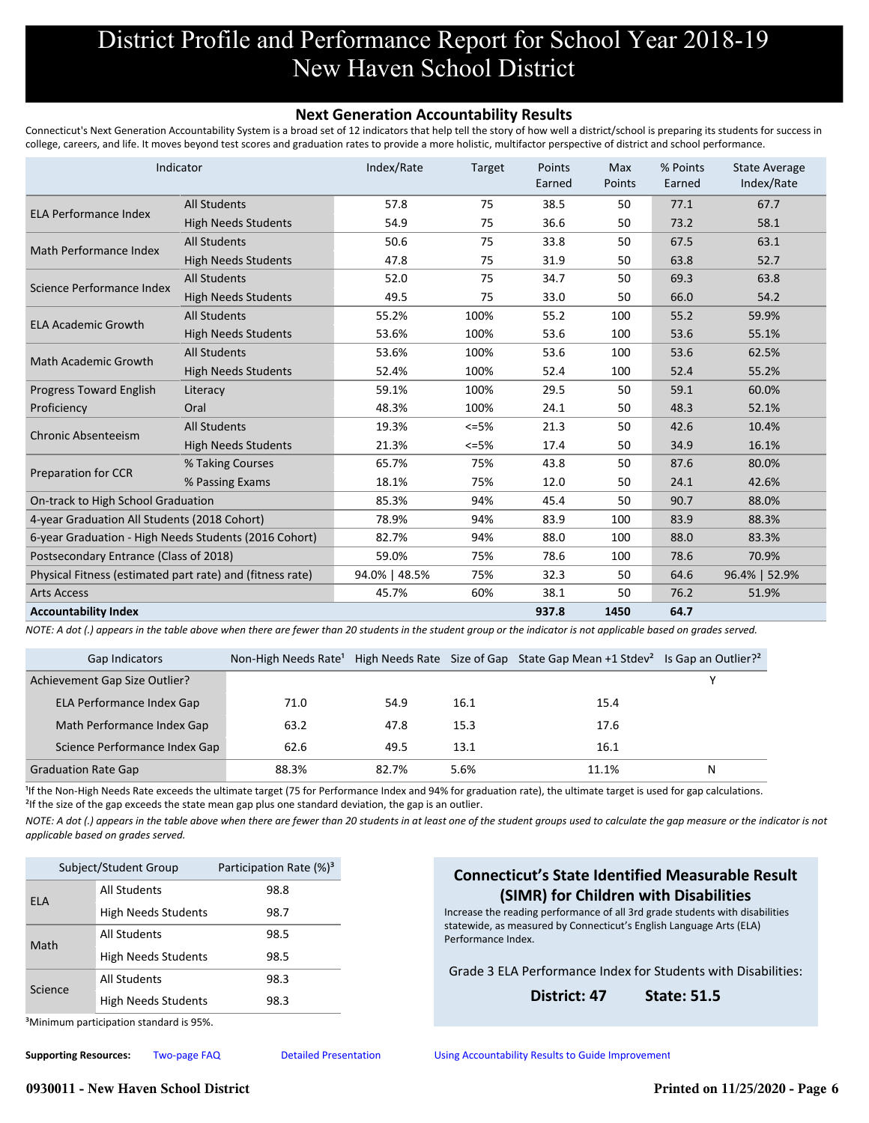#### **Next Generation Accountability Results**

Connecticut's Next Generation Accountability System is a broad set of 12 indicators that help tell the story of how well a district/school is preparing its students for success in college, careers, and life. It moves beyond test scores and graduation rates to provide a more holistic, multifactor perspective of district and school performance.

|                                                           | Indicator                  | Index/Rate    | Target | Points<br>Earned | <b>Max</b><br>Points | % Points<br>Earned | <b>State Average</b><br>Index/Rate |
|-----------------------------------------------------------|----------------------------|---------------|--------|------------------|----------------------|--------------------|------------------------------------|
| <b>ELA Performance Index</b>                              | <b>All Students</b>        | 57.8          | 75     | 38.5             | 50                   | 77.1               | 67.7                               |
|                                                           | <b>High Needs Students</b> | 54.9          | 75     | 36.6             | 50                   | 73.2               | 58.1                               |
|                                                           | <b>All Students</b>        | 50.6          | 75     | 33.8             | 50                   | 67.5               | 63.1                               |
| Math Performance Index                                    | <b>High Needs Students</b> | 47.8          | 75     | 31.9             | 50                   | 63.8               | 52.7                               |
| Science Performance Index                                 | <b>All Students</b>        | 52.0          | 75     | 34.7             | 50                   | 69.3               | 63.8                               |
|                                                           | <b>High Needs Students</b> | 49.5          | 75     | 33.0             | 50                   | 66.0               | 54.2                               |
|                                                           | <b>All Students</b>        | 55.2%         | 100%   | 55.2             | 100                  | 55.2               | 59.9%                              |
| <b>ELA Academic Growth</b>                                | <b>High Needs Students</b> | 53.6%         | 100%   | 53.6             | 100                  | 53.6               | 55.1%                              |
|                                                           | <b>All Students</b>        | 53.6%         | 100%   | 53.6             | 100                  | 53.6               | 62.5%                              |
| <b>Math Academic Growth</b>                               | <b>High Needs Students</b> | 52.4%         | 100%   | 52.4             | 100                  | 52.4               | 55.2%                              |
| Progress Toward English                                   | Literacy                   | 59.1%         | 100%   | 29.5             | 50                   | 59.1               | 60.0%                              |
| Proficiency                                               | Oral                       | 48.3%         | 100%   | 24.1             | 50                   | 48.3               | 52.1%                              |
|                                                           | <b>All Students</b>        | 19.3%         | $<=5%$ | 21.3             | 50                   | 42.6               | 10.4%                              |
| <b>Chronic Absenteeism</b>                                | <b>High Needs Students</b> | 21.3%         | $<=5%$ | 17.4             | 50                   | 34.9               | 16.1%                              |
|                                                           | % Taking Courses           | 65.7%         | 75%    | 43.8             | 50                   | 87.6               | 80.0%                              |
| Preparation for CCR                                       | % Passing Exams            | 18.1%         | 75%    | 12.0             | 50                   | 24.1               | 42.6%                              |
| On-track to High School Graduation                        |                            | 85.3%         | 94%    | 45.4             | 50                   | 90.7               | 88.0%                              |
| 4-year Graduation All Students (2018 Cohort)              |                            | 78.9%         | 94%    | 83.9             | 100                  | 83.9               | 88.3%                              |
| 6-year Graduation - High Needs Students (2016 Cohort)     |                            | 82.7%         | 94%    | 88.0             | 100                  | 88.0               | 83.3%                              |
| Postsecondary Entrance (Class of 2018)                    |                            | 59.0%         | 75%    | 78.6             | 100                  | 78.6               | 70.9%                              |
| Physical Fitness (estimated part rate) and (fitness rate) |                            | 94.0%   48.5% | 75%    | 32.3             | 50                   | 64.6               | 96.4%   52.9%                      |
| <b>Arts Access</b>                                        |                            | 45.7%         | 60%    | 38.1             | 50                   | 76.2               | 51.9%                              |
| <b>Accountability Index</b>                               |                            |               |        | 937.8            | 1450                 | 64.7               |                                    |

*NOTE: A dot (.) appears in the table above when there are fewer than 20 students in the student group or the indicator is not applicable based on grades served.*

| Gap Indicators                | Non-High Needs Rate <sup>1</sup> |       |      | High Needs Rate Size of Gap State Gap Mean +1 Stdev <sup>2</sup> Is Gap an Outlier? <sup>2</sup> |   |
|-------------------------------|----------------------------------|-------|------|--------------------------------------------------------------------------------------------------|---|
| Achievement Gap Size Outlier? |                                  |       |      |                                                                                                  |   |
| ELA Performance Index Gap     | 71.0                             | 54.9  | 16.1 | 15.4                                                                                             |   |
| Math Performance Index Gap    | 63.2                             | 47.8  | 15.3 | 17.6                                                                                             |   |
| Science Performance Index Gap | 62.6                             | 49.5  | 13.1 | 16.1                                                                                             |   |
| <b>Graduation Rate Gap</b>    | 88.3%                            | 82.7% | 5.6% | 11.1%                                                                                            | N |

<sup>1</sup>If the Non-High Needs Rate exceeds the ultimate target (75 for Performance Index and 94% for graduation rate), the ultimate target is used for gap calculations. <sup>2</sup>If the size of the gap exceeds the state mean gap plus one standard deviation, the gap is an outlier.

*NOTE: A dot (.) appears in the table above when there are fewer than 20 students in at least one of the student groups used to calculate the gap measure or the indicator is not applicable based on grades served.*

| Subject/Student Group      | Participation Rate (%) <sup>3</sup> |
|----------------------------|-------------------------------------|
| All Students               | 98.8                                |
| <b>High Needs Students</b> | 98.7                                |
| All Students               | 98.5                                |
| <b>High Needs Students</b> | 98.5                                |
| All Students               | 98.3                                |
| <b>High Needs Students</b> | 98.3                                |
|                            |                                     |

# **Connecticut's State Identified Measurable Result (SIMR) for Children with Disabilities**

Increase the reading performance of all 3rd grade students with disabilities statewide, as measured by Connecticut's English Language Arts (ELA) Performance Index.

Grade 3 ELA Performance Index for Students with Disabilities:

#### **District: 47 State: 51.5**

³Minimum participation standard is 95%.

**0930011 - New Haven School District Printed on 11/25/2020 - Page 6**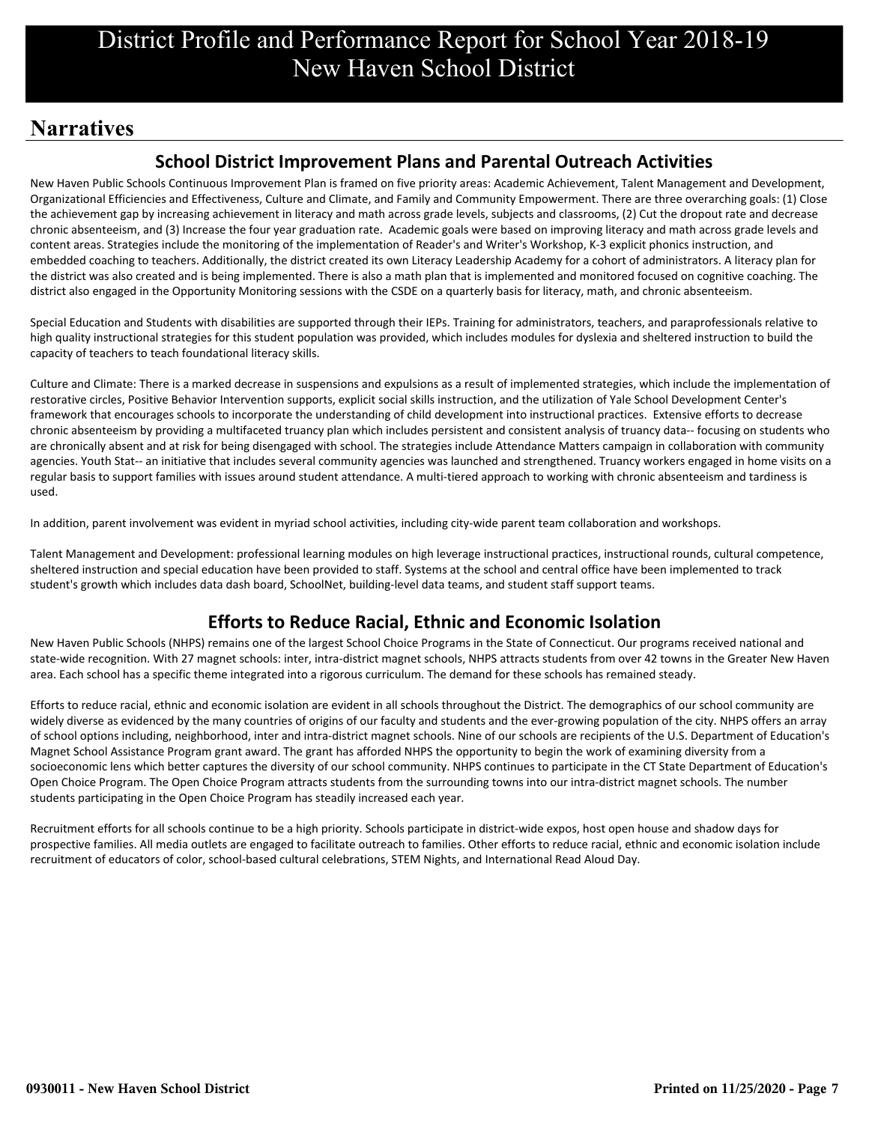# **Narratives**

# **School District Improvement Plans and Parental Outreach Activities**

New Haven Public Schools Continuous Improvement Plan is framed on five priority areas: Academic Achievement, Talent Management and Development, Organizational Efficiencies and Effectiveness, Culture and Climate, and Family and Community Empowerment. There are three overarching goals: (1) Close the achievement gap by increasing achievement in literacy and math across grade levels, subjects and classrooms, (2) Cut the dropout rate and decrease chronic absenteeism, and (3) Increase the four year graduation rate. Academic goals were based on improving literacy and math across grade levels and content areas. Strategies include the monitoring of the implementation of Reader's and Writer's Workshop, K-3 explicit phonics instruction, and embedded coaching to teachers. Additionally, the district created its own Literacy Leadership Academy for a cohort of administrators. A literacy plan for the district was also created and is being implemented. There is also a math plan that is implemented and monitored focused on cognitive coaching. The district also engaged in the Opportunity Monitoring sessions with the CSDE on a quarterly basis for literacy, math, and chronic absenteeism.

Special Education and Students with disabilities are supported through their IEPs. Training for administrators, teachers, and paraprofessionals relative to high quality instructional strategies for this student population was provided, which includes modules for dyslexia and sheltered instruction to build the capacity of teachers to teach foundational literacy skills.

Culture and Climate: There is a marked decrease in suspensions and expulsions as a result of implemented strategies, which include the implementation of restorative circles, Positive Behavior Intervention supports, explicit social skills instruction, and the utilization of Yale School Development Center's framework that encourages schools to incorporate the understanding of child development into instructional practices. Extensive efforts to decrease chronic absenteeism by providing a multifaceted truancy plan which includes persistent and consistent analysis of truancy data-- focusing on students who are chronically absent and at risk for being disengaged with school. The strategies include Attendance Matters campaign in collaboration with community agencies. Youth Stat-- an initiative that includes several community agencies was launched and strengthened. Truancy workers engaged in home visits on a regular basis to support families with issues around student attendance. A multi-tiered approach to working with chronic absenteeism and tardiness is used.

In addition, parent involvement was evident in myriad school activities, including city-wide parent team collaboration and workshops.

Talent Management and Development: professional learning modules on high leverage instructional practices, instructional rounds, cultural competence, sheltered instruction and special education have been provided to staff. Systems at the school and central office have been implemented to track student's growth which includes data dash board, SchoolNet, building-level data teams, and student staff support teams.

# **Efforts to Reduce Racial, Ethnic and Economic Isolation**

New Haven Public Schools (NHPS) remains one of the largest School Choice Programs in the State of Connecticut. Our programs received national and state-wide recognition. With 27 magnet schools: inter, intra-district magnet schools, NHPS attracts students from over 42 towns in the Greater New Haven area. Each school has a specific theme integrated into a rigorous curriculum. The demand for these schools has remained steady.

Efforts to reduce racial, ethnic and economic isolation are evident in all schools throughout the District. The demographics of our school community are widely diverse as evidenced by the many countries of origins of our faculty and students and the ever-growing population of the city. NHPS offers an array of school options including, neighborhood, inter and intra-district magnet schools. Nine of our schools are recipients of the U.S. Department of Education's Magnet School Assistance Program grant award. The grant has afforded NHPS the opportunity to begin the work of examining diversity from a socioeconomic lens which better captures the diversity of our school community. NHPS continues to participate in the CT State Department of Education's Open Choice Program. The Open Choice Program attracts students from the surrounding towns into our intra-district magnet schools. The number students participating in the Open Choice Program has steadily increased each year.

Recruitment efforts for all schools continue to be a high priority. Schools participate in district-wide expos, host open house and shadow days for prospective families. All media outlets are engaged to facilitate outreach to families. Other efforts to reduce racial, ethnic and economic isolation include recruitment of educators of color, school-based cultural celebrations, STEM Nights, and International Read Aloud Day.